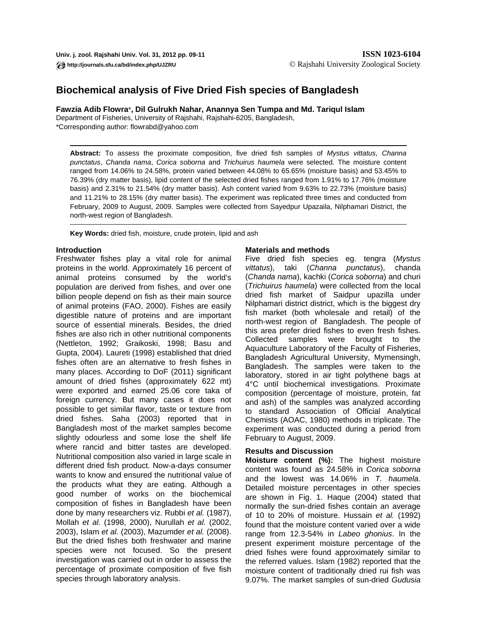# **Biochemical analysis of Five Dried Fish species of Bangladesh**

**Fawzia Adib Flowra**\***, Dil Gulrukh Nahar, Anannya Sen Tumpa and Md. Tariqul Islam**

Department of Fisheries, University of Rajshahi, Rajshahi-6205, Bangladesh, \*Corresponding author: flowrabd@yahoo.com

**Abstract:** To assess the proximate composition, five dried fish samples of *Mystus vittatus*, *Channa punctatus*, *Chanda nama*, *Corica soborna* and *Trichuirus haumela* were selected. The moisture content ranged from 14.06% to 24.58%, protein varied between 44.08% to 65.65% (moisture basis) and 53.45% to 76.39% (dry matter basis), lipid content of the selected dried fishes ranged from 1.91% to 17.76% (moisture basis) and 2.31% to 21.54% (dry matter basis). Ash content varied from 9.63% to 22.73% (moisture basis) and 11.21% to 28.15% (dry matter basis). The experiment was replicated three times and conducted from February, 2009 to August, 2009. Samples were collected from Sayedpur Upazaila, Nilphamari District, the north-west region of Bangladesh.

**Key Words:** dried fish, moisture, crude protein, lipid and ash

## **Introduction**

Freshwater fishes play a vital role for animal proteins in the world. Approximately 16 percent of animal proteins consumed by the world's population are derived from fishes, and over one billion people depend on fish as their main source of animal proteins (FAO, 2000). Fishes are easily digestible nature of proteins and are important source of essential minerals. Besides, the dried fishes are also rich in other nutritional components (Nettleton, 1992; Graikoski, 1998; Basu and Gupta, 2004). Laureti (1998) established that dried fishes often are an alternative to fresh fishes in many places. According to DoF (2011) significant amount of dried fishes (approximately 622 mt) were exported and earned 25.06 core taka of foreign currency. But many cases it does not possible to get similar flavor, taste or texture from dried fishes. Saha (2003) reported that in Bangladesh most of the market samples become slightly odourless and some lose the shelf life where rancid and bitter tastes are developed. Nutritional composition also varied in large scale in different dried fish product. Now-a-days consumer wants to know and ensured the nutritional value of the products what they are eating. Although a good number of works on the biochemical composition of fishes in Bangladesh have been done by many researchers viz. Rubbi *et al.* (1987), Mollah *et al.* (1998, 2000), Nurullah *et al.* (2002, 2003), Islam *et al.* (2003), Mazumder *et al.* (2008). But the dried fishes both freshwater and marine species were not focused. So the present investigation was carried out in order to assess the percentage of proximate composition of five fish species through laboratory analysis.

## **Materials and methods**

Five dried fish species eg. tengra (*Mystus vittatus*), taki (*Channa punctatus*), chanda (*Chanda nama*), kachki (*Corica soborna*) and churi (*Trichuirus haumela*) were collected from the local dried fish market of Saidpur upazilla under Nilphamari district district, which is the biggest dry fish market (both wholesale and retail) of the north-west region of Bangladesh. The people of this area prefer dried fishes to even fresh fishes. Collected samples were brought to the Aquaculture Laboratory of the Faculty of Fisheries, Bangladesh Agricultural University, Mymensingh, Bangladesh. The samples were taken to the laboratory, stored in air tight polythene bags at 4°C until biochemical investigations. Proximate composition (percentage of moisture, protein, fat and ash) of the samples was analyzed according to standard Association of Official Analytical Chemists (AOAC, 1980) methods in triplicate. The experiment was conducted during a period from February to August, 2009.

## **Results and Discussion**

**Moisture content (%):** The highest moisture content was found as 24.58% in *Corica soborna* and the lowest was 14.06% in *T. haumela*. Detailed moisture percentages in other species are shown in Fig. 1. Haque (2004) stated that normally the sun-dried fishes contain an average of 10 to 20% of moisture. Hussain *et al.* (1992) found that the moisture content varied over a wide range from 12.3-54% in *Labeo ghonius*. In the present experiment moisture percentage of the dried fishes were found approximately similar to the referred values. Islam (1982) reported that the moisture content of traditionally dried rui fish was 9.07%. The market samples of sun-dried *Gudusia*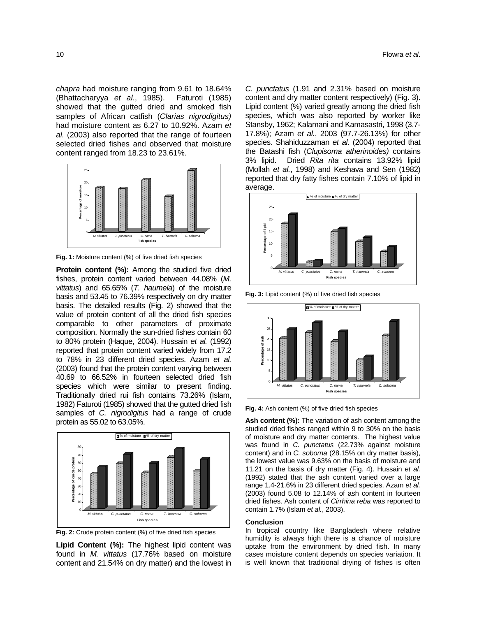*chapra* had moisture ranging from 9.61 to 18.64% (Bhattacharyya *et al.*, 1985). Faturoti (1985) showed that the gutted dried and smoked fish samples of African catfish (*Clarias nigrodigitus)*  had moisture content as 6.27 to 10.92%. Azam *et al.* (2003) also reported that the range of fourteen selected dried fishes and observed that moisture content ranged from 18.23 to 23.61%.



**Fig. 1:** Moisture content (%) of five dried fish species

**Protein content (%):** Among the studied five dried fishes, protein content varied between 44.08% (*M. vittatus*) and 65.65% (*T. haumela*) of the moisture basis and 53.45 to 76.39% respectively on dry matter basis. The detailed results (Fig. 2) showed that the value of protein content of all the dried fish species comparable to other parameters of proximate composition. Normally the sun-dried fishes contain 60 to 80% protein (Haque, 2004). Hussain *et al.* (1992) reported that protein content varied widely from 17.2 to 78% in 23 different dried species. Azam *et al.* (2003) found that the protein content varying between 40.69 to 66.52% in fourteen selected dried fish species which were similar to present finding. Traditionally dried rui fish contains 73.26% (Islam, 1982) Faturoti (1985) showed that the gutted dried fish samples of *C. nigrodigitus* had a range of crude protein as 55.02 to 63.05%.



**Fig. 2:** Crude protein content (%) of five dried fish species

**Lipid Content (%):** The highest lipid content was found in *M. vittatus* (17.76% based on moisture content and 21.54% on dry matter) and the lowest in

*C. punctatus* (1.91 and 2.31% based on moisture content and dry matter content respectively) (Fig. 3). Lipid content (%) varied greatly among the dried fish species, which was also reported by worker like Stansby, 1962; Kalamani and Kamasastri, 1998 (3.7- 17.8%); Azam *et al.*, 2003 (97.7-26.13%) for other species. Shahiduzzaman *et al.* (2004) reported that the Batashi fish (*Clupisoma atherinoides)* contains 3% lipid. Dried *Rita rita* contains 13.92% lipid (Mollah *et al.*, 1998) and Keshava and Sen (1982) reported that dry fatty fishes contain 7.10% of lipid in average.



**Fig. 3:** Lipid content (%) of five dried fish species



**Fig. 4:** Ash content (%) of five dried fish species

**Ash content (%):** The variation of ash content among the studied dried fishes ranged within 9 to 30% on the basis of moisture and dry matter contents. The highest value was found in *C. punctatus* (22.73% against moisture content) and in *C. soborna* (28.15% on dry matter basis), the lowest value was 9.63% on the basis of moisture and 11.21 on the basis of dry matter (Fig. 4). Hussain *et al.* (1992) stated that the ash content varied over a large range 1.4-21.6% in 23 different dried species. Azam *et al.* (2003) found 5.08 to 12.14% of ash content in fourteen dried fishes. Ash content of *Cirrhina reba* was reported to contain 1.7% (Islam *et al.*, 2003).

#### **Conclusion**

In tropical country like Bangladesh where relative humidity is always high there is a chance of moisture uptake from the environment by dried fish. In many cases moisture content depends on species variation. It is well known that traditional drying of fishes is often